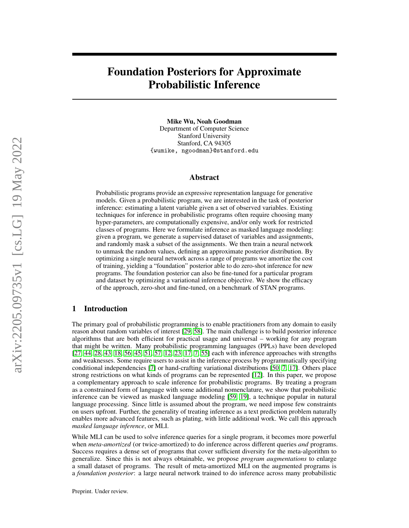# Foundation Posteriors for Approximate Probabilistic Inference

Mike Wu, Noah Goodman Department of Computer Science Stanford University Stanford, CA 94305 {wumike, ngoodman}@stanford.edu

## Abstract

Probabilistic programs provide an expressive representation language for generative models. Given a probabilistic program, we are interested in the task of posterior inference: estimating a latent variable given a set of observed variables. Existing techniques for inference in probabilistic programs often require choosing many hyper-parameters, are computationally expensive, and/or only work for restricted classes of programs. Here we formulate inference as masked language modeling: given a program, we generate a supervised dataset of variables and assignments, and randomly mask a subset of the assignments. We then train a neural network to unmask the random values, defining an approximate posterior distribution. By optimizing a single neural network across a range of programs we amortize the cost of training, yielding a "foundation" posterior able to do zero-shot inference for new programs. The foundation posterior can also be fine-tuned for a particular program and dataset by optimizing a variational inference objective. We show the efficacy of the approach, zero-shot and fine-tuned, on a benchmark of STAN programs.

# 1 Introduction

The primary goal of probabilistic programming is to enable practitioners from any domain to easily reason about random variables of interest [\[29,](#page-10-0) [58\]](#page-11-0). The main challenge is to build posterior inference algorithms that are both efficient for practical usage and universal – working for any program that might be written. Many probabilistic programming languages (PPLs) have been developed [\[27,](#page-10-1) [44,](#page-11-1) [28,](#page-10-2) [43,](#page-11-2) [18,](#page-10-3) [56,](#page-11-3) [45,](#page-11-4) [51,](#page-11-5) [57,](#page-11-6) [12,](#page-9-0) [23,](#page-10-4) [17,](#page-10-5) [7,](#page-9-1) [55\]](#page-11-7) each with inference approaches with strengths and weaknesses. Some require users to assist in the inference process by programmatically specifying conditional independencies [\[7\]](#page-9-1) or hand-crafting variational distributions [\[50,](#page-11-8) [7,](#page-9-1) [17\]](#page-10-5). Others place strong restrictions on what kinds of programs can be represented [\[12\]](#page-9-0). In this paper, we propose a complementary approach to scale inference for probabilistic programs. By treating a program as a constrained form of language with some additional nomenclature, we show that probabilistic inference can be viewed as masked language modeling [\[59,](#page-11-9) [19\]](#page-10-6), a technique popular in natural language processing. Since little is assumed about the program, we need impose few constraints on users upfront. Further, the generality of treating inference as a text prediction problem naturally enables more advanced features, such as plating, with little additional work. We call this approach *masked language inference*, or MLI.

While MLI can be used to solve inference queries for a single program, it becomes more powerful when *meta-amortized* (or twice-amortized) to do inference across different queries *and* programs. Success requires a dense set of programs that cover sufficient diversity for the meta-algorithm to generalize. Since this is not always obtainable, we propose *program augmentations* to enlarge a small dataset of programs. The result of meta-amortized MLI on the augmented programs is a *foundation posterior*: a large neural network trained to do inference across many probabilistic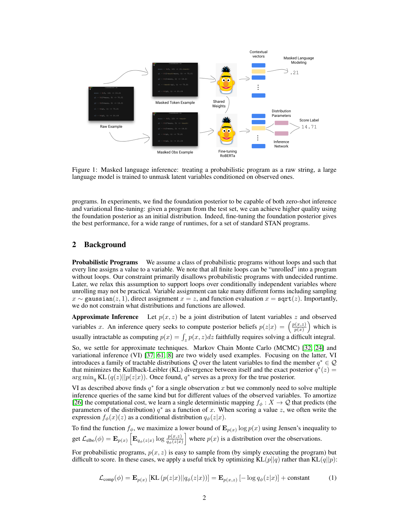<span id="page-1-1"></span>

Figure 1: Masked language inference: treating a probabilistic program as a raw string, a large language model is trained to unmask latent variables conditioned on observed ones.

programs. In experiments, we find the foundation posterior to be capable of both zero-shot inference and variational fine-tuning: given a program from the test set, we can achieve higher quality using the foundation posterior as an initial distribution. Indeed, fine-tuning the foundation posterior gives the best performance, for a wide range of runtimes, for a set of standard STAN programs.

# 2 Background

**Probabilistic Programs** We assume a class of probabilistic programs without loops and such that every line assigns a value to a variable. We note that all finite loops can be "unrolled" into a program without loops. Our constraint primarily disallows probabilistic programs with undecided runtime. Later, we relax this assumption to support loops over conditionally independent variables where unrolling may not be practical. Variable assignment can take many different forms including sampling  $x \sim$  gaussian(z, 1), direct assignment  $x = z$ , and function evaluation  $x =$  sqrt(z). Importantly, we do not constrain what distributions and functions are allowed.

**Approximate Inference** Let  $p(x, z)$  be a joint distribution of latent variables z and observed variables x. An inference query seeks to compute posterior beliefs  $p(z|x) = \left(\frac{p(x,z)}{p(x)}\right)^{n}$  $\frac{p(x,z)}{p(x)}$  which is usually intractable as computing  $p(x) = \int_z p(x, z)dz$  faithfully requires solving a difficult integral.

So, we settle for approximate techniques. Markov Chain Monte Carlo (MCMC) [\[32,](#page-10-7) [24\]](#page-10-8) and variational inference (VI) [\[37,](#page-10-9) [61,](#page-12-0) [8\]](#page-9-2) are two widely used examples. Focusing on the latter, VI introduces a family of tractable distributions Q over the latent variables to find the member  $q^* \in \mathcal{Q}$ that minimizes the Kullback-Leibler (KL) divergence between itself and the exact posterior  $q^*(z)$  =  $\arg \min_{q} KL(q(z)||p(z|x))$ . Once found,  $q^*$  serves as a proxy for the true posterior.

VI as described above finds  $q^*$  for a single observation x but we commonly need to solve multiple inference queries of the same kind but for different values of the observed variables. To amortize [\[26\]](#page-10-10) the computational cost, we learn a single deterministic mapping  $f_{\phi}: X \to \mathcal{Q}$  that predicts (the parameters of the distribution)  $q^*$  as a function of x. When scoring a value z, we often write the expression  $f_{\phi}(x)(z)$  as a conditional distribution  $q_{\phi}(z|x)$ .

To find the function  $f_{\phi}$ , we maximize a lower bound of  $\mathbf{E}_{p(x)} \log p(x)$  using Jensen's inequality to get  $\mathcal{L}_{\text{elbo}}(\phi) = \mathbf{E}_{p(x)} \left[ \mathbf{E}_{q_{\phi}(z|x)} \log \frac{p(x,z)}{q_{\phi}(z|x)} \right]$  where  $p(x)$  is a distribution over the observations.

<span id="page-1-0"></span>For probabilistic programs,  $p(x, z)$  is easy to sample from (by simply executing the program) but difficult to score. In these cases, we apply a useful trick by optimizing  $KL(p||q)$  rather than  $KL(q||p)$ :

$$
\mathcal{L}_{\text{comp}}(\phi) = \mathbf{E}_{p(x)} \left[ \text{KL} \left( p(z|x) || q_{\phi}(z|x) \right) \right] = \mathbf{E}_{p(x,z)} \left[ -\log q_{\phi}(z|x) \right] + \text{constant} \tag{1}
$$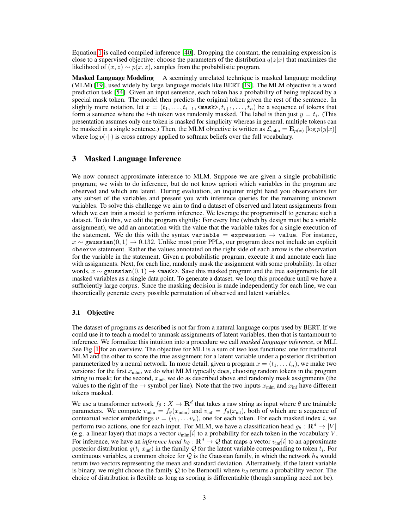Equation [1](#page-1-0) is called compiled inference [\[40\]](#page-11-10). Dropping the constant, the remaining expression is close to a supervised objective: choose the parameters of the distribution  $q(z|x)$  that maximizes the likelihood of  $(x, z) \sim p(x, z)$ , samples from the probabilistic program.

Masked Language Modeling A seemingly unrelated technique is masked language modeling (MLM) [\[19\]](#page-10-6), used widely by large language models like BERT [\[19\]](#page-10-6). The MLM objective is a word prediction task [\[54\]](#page-11-11). Given an input sentence, each token has a probability of being replaced by a special mask token. The model then predicts the original token given the rest of the sentence. In slightly more notation, let  $x = (t_1, \ldots, t_{i-1}, \text{<} \text{mask})$ ,  $t_{i+1}, \ldots, t_n$ ) be a sequence of tokens that form a sentence where the *i*-th token was randomly masked. The label is then just  $y = t_i$ . (This presentation assumes only one token is masked for simplicity whereas in general, multiple tokens can be masked in a single sentence.) Then, the MLM objective is written as  $\mathcal{L}_{\text{mlm}} = \mathbf{E}_{p(x)} [\log p(y|x)]$ where  $\log p(\cdot|\cdot)$  is cross entropy applied to softmax beliefs over the full vocabulary.

# 3 Masked Language Inference

We now connect approximate inference to MLM. Suppose we are given a single probabilistic program; we wish to do inference, but do not know apriori which variables in the program are observed and which are latent. During evaluation, an inquirer might hand you observations for any subset of the variables and present you with inference queries for the remaining unknown variables. To solve this challenge we aim to find a dataset of observed and latent assignments from which we can train a model to perform inference. We leverage the programitself to generate such a dataset. To do this, we edit the program slightly: For every line (which by design must be a variable assignment), we add an annotation with the value that the variable takes for a single execution of the statement. We do this with the syntax variable = expression  $\rightarrow$  value. For instance,  $x \sim$  gaussian(0, 1)  $\rightarrow$  0.132. Unlike most prior PPLs, our program does not include an explicit observe statement. Rather the values annotated on the right side of each arrow is the observation for the variable in the statement. Given a probabilistic program, execute it and annotate each line with assignments. Next, for each line, randomly mask the assignment with some probability. In other words,  $x \sim$  gaussian $(0, 1) \rightarrow$  <mask>. Save this masked program and the true assignments for all masked variables as a single data point. To generate a dataset, we loop this procedure until we have a sufficiently large corpus. Since the masking decision is made independently for each line, we can theoretically generate every possible permutation of observed and latent variables.

## 3.1 Objective

The dataset of programs as described is not far from a natural language corpus used by BERT. If we could use it to teach a model to unmask assignments of latent variables, then that is tantamount to inference. We formalize this intuition into a procedure we call *masked language inference*, or MLI. See Fig. [1](#page-1-1) for an overview. The objective for MLI is a sum of two loss functions: one for traditional MLM and the other to score the true assignment for a latent variable under a posterior distribution parameterized by a neural network. In more detail, given a program  $x = (t_1, \ldots, t_n)$ , we make two versions: for the first  $x_{\text{mlm}}$ , we do what MLM typically does, choosing random tokens in the program string to mask; for the second,  $x_{\text{inf}}$ , we do as described above and randomly mask assignments (the values to the right of the  $\rightarrow$  symbol per line). Note that the two inputs  $x_{\text{min}}$  and  $x_{\text{inf}}$  have different tokens masked.

We use a transformer network  $f_{\theta}: X \to \mathbf{R}^d$  that takes a raw string as input where  $\theta$  are trainable parameters. We compute  $v_{\text{mlm}} = f_{\theta}(x_{\text{mlm}})$  and  $v_{\text{inf}} = f_{\theta}(x_{\text{inf}})$ , both of which are a sequence of contextual vector embeddings  $v = (v_1, \ldots v_n)$ , one for each token. For each masked index i, we perform two actions, one for each input. For MLM, we have a classification head  $g_{\theta} : \mathbf{R}^d \to |V|$ (e.g. a linear layer) that maps a vector  $v_{\text{mlm}}[i]$  to a probability for each token in the vocabulary V. For inference, we have an *inference head*  $h_\theta: \mathbf{R}^d \to \mathcal{Q}$  that maps a vector  $v_{\inf}[i]$  to an approximate posterior distribution  $q(t_i|x_{\text{inf}})$  in the family  $\mathcal Q$  for the latent variable corresponding to token  $t_i$ . For continuous variables, a common choice for Q is the Gaussian family, in which the network  $h_{\theta}$  would return two vectors representing the mean and standard deviation. Alternatively, if the latent variable is binary, we might choose the family Q to be Bernoulli where  $h_{\theta}$  returns a probability vector. The choice of distribution is flexible as long as scoring is differentiable (though sampling need not be).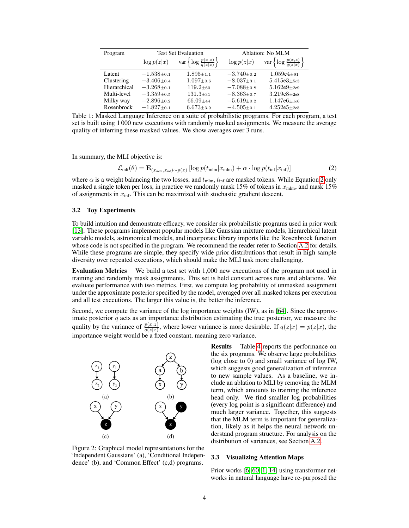| Program      | <b>Test Set Evaluation</b> |                                                               | Ablation: No MLM   |                                                               |
|--------------|----------------------------|---------------------------------------------------------------|--------------------|---------------------------------------------------------------|
|              |                            | $\log p(z x)$ var $\left\{\log \frac{p(x,z)}{q(z x)}\right\}$ |                    | $\log p(z x)$ var $\left\{\log \frac{p(x,z)}{q(z x)}\right\}$ |
| Latent       | $-1.538 + 0.1$             | $1.895 + 1.1$                                                 | $-3.740_{\pm0.2}$  | $1.059e4_{\pm 91}$                                            |
| Clustering   | $-3.406 + 0.4$             | $1.097 \pm 0.6$                                               | $-8.037_{\pm 3.1}$ | $5.415e3 + 5e3$                                               |
| Hierarchical | $-3.268_{\pm0.1}$          | $119.2 + 60$                                                  | $-7.088 + 0.8$     | $5.162e9 + 2e9$                                               |
| Multi-level  | $-3.359_{\pm 0.5}$         | $131.3 + 31$                                                  | $-8.363_{\pm 0.7}$ | $3.219e8 + 2e8$                                               |
| Milky way    | $-2.896 + 0.2$             | $66.09 + 44$                                                  | $-5.619_{\pm0.2}$  | $1.147e6 + 1e6$                                               |
| Rosenbrock   | $-1.827_{\pm0.1}$          | $6.673{\scriptstyle \pm3.9}$                                  | $-4.505 + 0.1$     | $4.252e5 + 2e5$                                               |

Table 1: Masked Language Inference on a suite of probabilistic programs. For each program, a test set is built using 1 000 new executions with randomly masked assignments. We measure the average quality of inferring these masked values. We show averages over  $3$  runs.

In summary, the MLI objective is:

<span id="page-3-0"></span>
$$
\mathcal{L}_{\text{mli}}(\theta) = \mathbf{E}_{(x_{\text{mlm}}, x_{\text{inf}}) \sim p(x)} \left[ \log p(t_{\text{mlm}} | x_{\text{mlm}}) + \alpha \cdot \log p(t_{\text{inf}} | x_{\text{inf}}) \right]
$$
(2)

where  $\alpha$  is a weight balancing the two losses, and  $t_{\text{mlm}}$ ,  $t_{\text{inf}}$  are masked tokens. While Equation [2](#page-3-0) only masked a single token per loss, in practice we randomly mask 15% of tokens in  $x_{\text{min}}$ , and mask 15% of assignments in  $x_{\text{inf}}$ . This can be maximized with stochastic gradient descent.

#### <span id="page-3-2"></span>3.2 Toy Experiments

To build intuition and demonstrate efficacy, we consider six probabilistic programs used in prior work [\[13\]](#page-9-3). These programs implement popular models like Gaussian mixture models, hierarchical latent variable models, astronomical models, and incorporate library imports like the Rosenbrock function whose code is not specified in the program. We recommend the reader refer to Section [A.2](#page-14-0) for details. While these programs are simple, they specify wide prior distributions that result in high sample diversity over repeated executions, which should make the MLI task more challenging.

Evaluation Metrics We build a test set with 1,000 new executions of the program not used in training and randomly mask assignments. This set is held constant across runs and ablations. We evaluate performance with two metrics. First, we compute log probability of unmasked assignment under the approximate posterior specified by the model, averaged over all masked tokens per execution and all test executions. The larger this value is, the better the inference.

Second, we compute the variance of the log importance weights (IW), as in [\[64\]](#page-12-1). Since the approximate posterior  $q$  acts as an importance distribution estimating the true posterior, we measure the quality by the variance of  $\frac{p(x,z)}{q(z|x)}$ , where lower variance is more desirable. If  $q(z|x) = p(z|x)$ , the importance weight would be a fixed constant, meaning zero variance.

<span id="page-3-1"></span>

Figure 2: Graphical model representations for the 'Independent Gaussians' (a), 'Conditional Independence' (b), and 'Common Effect' (c,d) programs.

Results Table [4](#page-16-0) reports the performance on the six programs. We observe large probabilities (log close to 0) and small variance of log IW, which suggests good generalization of inference to new sample values. As a baseline, we include an ablation to MLI by removing the MLM term, which amounts to training the inference head only. We find smaller log probabilities (every log point is a significant difference) and much larger variance. Together, this suggests that the MLM term is important for generalization, likely as it helps the neural network understand program structure. For analysis on the distribution of variances, see Section [A.2.](#page-14-0)

#### 3.3 Visualizing Attention Maps

Prior works [\[6,](#page-9-4) [60,](#page-12-2) [1,](#page-9-5) [14\]](#page-9-6) using transformer networks in natural language have re-purposed the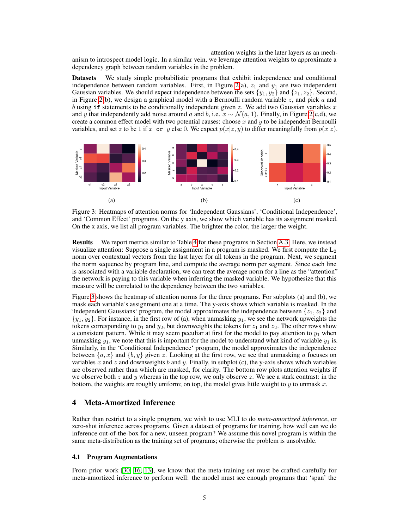attention weights in the later layers as an mech-

anism to introspect model logic. In a similar vein, we leverage attention weights to approximate a dependency graph between random variables in the problem.

Datasets We study simple probabilistic programs that exhibit independence and conditional independence between random variables. First, in Figure [2\(](#page-3-1)a),  $z_1$  and  $y_1$  are two independent Gaussian variables. We should expect independence between the sets  $\{y_1, y_2\}$  and  $\{z_1, z_2\}$ . Second, in Figure [2\(](#page-3-1)b), we design a graphical model with a Bernoulli random variable z, and pick a and b using if statements to be conditionally independent given z. We add two Gaussian variables x and y that independently add noise around a and b, i.e.  $x \sim \mathcal{N}(a, 1)$ . Finally, in Figure [2\(](#page-3-1)c,d), we create a common effect model with two potential causes: choose  $x$  and  $y$  to be independent Bernoulli variables, and set z to be 1 if x or y else 0. We expect  $p(x|z, y)$  to differ meaningfully from  $p(x|z)$ .

<span id="page-4-0"></span>

Figure 3: Heatmaps of attention norms for 'Independent Gaussians', 'Conditional Independence', and 'Common Effect' programs. On the y axis, we show which variable has its assignment masked. On the x axis, we list all program variables. The brighter the color, the larger the weight.

Results We report metrics similar to Table [4](#page-16-0) for these programs in Section [A.3.](#page-15-0) Here, we instead visualize attention: Suppose a single assignment in a program is masked. We first compute the  $L_2$ norm over contextual vectors from the last layer for all tokens in the program. Next, we segment the norm sequence by program line, and compute the average norm per segment. Since each line is associated with a variable declaration, we can treat the average norm for a line as the "attention" the network is paying to this variable when inferring the masked variable. We hypothesize that this measure will be correlated to the dependency between the two variables.

Figure [3](#page-4-0) shows the heatmap of attention norms for the three programs. For subplots (a) and (b), we mask each variable's assignment one at a time. The y-axis shows which variable is masked. In the 'Independent Gaussians' program, the model approximates the independence between  $\{z_1, z_2\}$  and  $\{y_1, y_2\}$ . For instance, in the first row of (a), when unmasking  $y_1$ , we see the network upweights the tokens corresponding to  $y_1$  and  $y_2$ , but downweights the tokens for  $z_1$  and  $z_2$ . The other rows show a consistent pattern. While it may seem peculiar at first for the model to pay attention to  $y_1$  when unmasking  $y_1$ , we note that this is important for the model to understand what kind of variable  $y_1$  is. Similarly, in the 'Conditional Independence' program, the model approximates the independence between  $\{a, x\}$  and  $\{b, y\}$  given z. Looking at the first row, we see that unmasking a focuses on variables x and z and downweights b and y. Finally, in subplot (c), the y-axis shows which variables are observed rather than which are masked, for clarity. The bottom row plots attention weights if we observe both z and y whereas in the top row, we only observe z. We see a stark contrast: in the bottom, the weights are roughly uniform; on top, the model gives little weight to  $y$  to unmask  $x$ .

# 4 Meta-Amortized Inference

Rather than restrict to a single program, we wish to use MLI to do *meta-amortized inference*, or zero-shot inference across programs. Given a dataset of programs for training, how well can we do inference out-of-the-box for a new, unseen program? We assume this novel program is within the same meta-distribution as the training set of programs; otherwise the problem is unsolvable.

## 4.1 Program Augmentations

From prior work [\[30,](#page-10-11) [16,](#page-9-7) [13\]](#page-9-3), we know that the meta-training set must be crafted carefully for meta-amortized inference to perform well: the model must see enough programs that 'span' the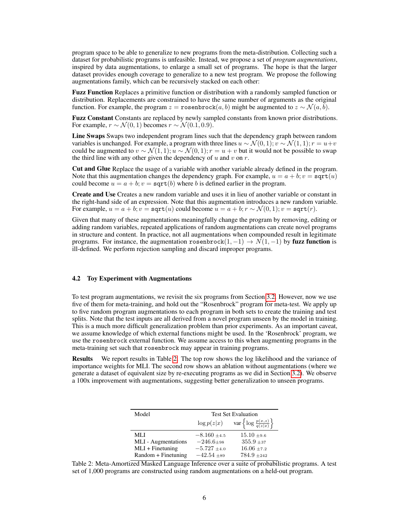program space to be able to generalize to new programs from the meta-distribution. Collecting such a dataset for probabilistic programs is unfeasible. Instead, we propose a set of *program augmentations*, inspired by data augmentations, to enlarge a small set of programs. The hope is that the larger dataset provides enough coverage to generalize to a new test program. We propose the following augmentations family, which can be recursively stacked on each other:

Fuzz Function Replaces a primitive function or distribution with a randomly sampled function or distribution. Replacements are constrained to have the same number of arguments as the original function. For example, the program  $z =$  rosenbrock $(a, b)$  might be augmented to  $z \sim \mathcal{N}(a, \overline{b})$ .

Fuzz Constant Constants are replaced by newly sampled constants from known prior distributions. For example,  $r \sim \mathcal{N}(0, 1)$  becomes  $r \sim \mathcal{N}(0.1, 0.9)$ .

Line Swaps Swaps two independent program lines such that the dependency graph between random variables is unchanged. For example, a program with three lines  $u \sim \mathcal{N}(0, 1)$ ;  $v \sim \mathcal{N}(1, 1)$ ;  $r = u+v$ could be augmented to  $v \sim \mathcal{N}(1, 1); u \sim \mathcal{N}(0, 1); r = u + v$  but it would not be possible to swap the third line with any other given the dependency of  $u$  and  $v$  on  $r$ .

Cut and Glue Replace the usage of a variable with another variable already defined in the program. Note that this augmentation changes the dependency graph. For example,  $u = a + b$ ;  $v =$  sqrt $(u)$ could become  $u = a + b$ ;  $v =$  sqrt(b) where b is defined earlier in the program.

Create and Use Creates a new random variable and uses it in lieu of another variable or constant in the right-hand side of an expression. Note that this augmentation introduces a new random variable. For example,  $u = a + b$ ;  $v = \text{sqrt}(u)$  could become  $u = a + b$ ;  $r \sim \mathcal{N}(0, 1)$ ;  $v = \text{sqrt}(r)$ .

Given that many of these augmentations meaningfully change the program by removing, editing or adding random variables, repeated applications of random augmentations can create novel programs in structure and content. In practice, not all augmentations when compounded result in legitimate programs. For instance, the augmentation rosenbrock $(1, -1) \rightarrow N(1, -1)$  by fuzz function is ill-defined. We perform rejection sampling and discard improper programs.

# 4.2 Toy Experiment with Augmentations

To test program augmentations, we revisit the six programs from Section [3.2.](#page-3-2) However, now we use five of them for meta-training, and hold out the "Rosenbrock" program for meta-test. We apply up to five random program augmentations to each program in both sets to create the training and test splits. Note that the test inputs are all derived from a novel program unseen by the model in training. This is a much more difficult generalization problem than prior experiments. As an important caveat, we assume knowledge of which external functions might be used. In the 'Rosenbrock' program, we use the rosenbrock external function. We assume access to this when augmenting programs in the meta-training set such that rosenbrock may appear in training programs.

<span id="page-5-0"></span>Results We report results in Table [2.](#page-5-0) The top row shows the log likelihood and the variance of importance weights for MLI. The second row shows an ablation without augmentations (where we generate a dataset of equivalent size by re-executing programs as we did in Section [3.2\)](#page-3-2). We observe a 100x improvement with augmentations, suggesting better generalization to unseen programs.

| Model               | <b>Test Set Evaluation</b> |                                                 |  |
|---------------------|----------------------------|-------------------------------------------------|--|
|                     | $\log p(z x)$              | var $\left\{\log \frac{p(x,z)}{q(z x)}\right\}$ |  |
| ML J                | $-8.160 + 4.5$             | $15.10 \pm 9.6$                                 |  |
| MLI - Augmentations | $-246.6 + 98$              | $355.9 + 37$                                    |  |
| $MLI + Finetuning$  | $-5.727 \pm 4.0$           | $16.06 \pm 7.2$                                 |  |
| Random + Finetuning | $-42.54 +89$               | $784.9 + 242$                                   |  |

Table 2: Meta-Amortized Masked Language Inference over a suite of probabilistic programs. A test set of 1,000 programs are constructed using random augmentations on a held-out program.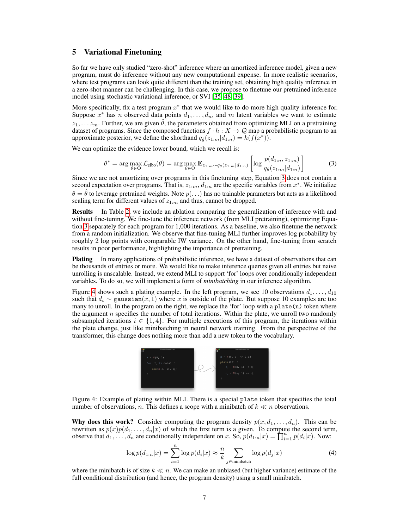# 5 Variational Finetuning

So far we have only studied "zero-shot" inference where an amortized inference model, given a new program, must do inference without any new computational expense. In more realistic scenarios, where test programs can look quite different than the training set, obtaining high quality inference in a zero-shot manner can be challenging. In this case, we propose to finetune our pretrained inference model using stochastic variational inference, or SVI [\[35,](#page-10-12) [48,](#page-11-12) [39\]](#page-11-13).

More specifically, fix a test program  $x^*$  that we would like to do more high quality inference for. Suppose  $x^*$  has n observed data points  $d_1, \ldots, d_n$ , and m latent variables we want to estimate  $z_1, \ldots z_m$ . Further, we are given  $\hat{\theta}$ , the parameters obtained from optimizing MLI on a pretraining dataset of programs. Since the composed functions  $f \cdot h : X \to \mathcal{Q}$  map a probabilistic program to an approximate posterior, we define the shorthand  $q_{\hat{\theta}}(z_{1:m}|d_{1:n}) = h(f(x^*))$ .

We can optimize the evidence lower bound, which we recall is:

<span id="page-6-0"></span>
$$
\theta^* = \arg \max_{\theta \in \Theta} \mathcal{L}_{\text{elbo}}(\theta) = \arg \max_{\theta \in \Theta} \mathbf{E}_{z_{1:m} \sim q_{\theta}(z_{1:m} | d_{1:n})} \left[ \log \frac{p(d_{1:n}, z_{1:m})}{q_{\theta}(z_{1:m} | d_{1:n})} \right]
$$
(3)

Since we are not amortizing over programs in this finetuning step, Equation [3](#page-6-0) does not contain a second expectation over programs. That is,  $z_{1:m}$ ,  $d_{1:n}$  are the specific variables from  $x^*$ . We initialize  $\theta = \hat{\theta}$  to leverage pretrained weights. Note  $p(\ldots)$  has no trainable parameters but acts as a likelihood scaling term for different values of  $z_{1:m}$  and thus, cannot be dropped.

Results In Table [2,](#page-5-0) we include an ablation comparing the generalization of inference with and without fine-tuning. We fine-tune the inference network (from MLI pretraining), optimizing Equation [3](#page-6-0) separately for each program for 1,000 iterations. As a baseline, we also finetune the network from a random initialization. We observe that fine-tuning MLI further improves log probability by roughly 2 log points with comparable IW variance. On the other hand, fine-tuning from scratch results in poor performance, highlighting the importance of pretraining.

**Plating** In many applications of probabilistic inference, we have a dataset of observations that can be thousands of entries or more. We would like to make inference queries given all entries but naive unrolling is unscalable. Instead, we extend MLI to support 'for' loops over conditionally independent variables. To do so, we will implement a form of *minibatching* in our inference algorithm.

<span id="page-6-1"></span>Figure [4](#page-6-1) shows such a plating example. In the left program, we see 10 observations  $d_1, \ldots, d_{10}$ such that  $d_i \sim$  gaussian $(x, 1)$  where x is outside of the plate. But suppose 10 examples are too many to unroll. In the program on the right, we replace the 'for' loop with a plate(n) token where the argument  $n$  specifies the number of total iterations. Within the plate, we unroll two randomly subsampled iterations  $i \in \{1, 4\}$ . For multiple executions of this program, the iterations within the plate change, just like minibatching in neural network training. From the perspective of the transformer, this change does nothing more than add a new token to the vocabulary.



Figure 4: Example of plating within MLI. There is a special plate token that specifies the total number of observations, n. This defines a scope with a minibatch of  $k \ll n$  observations.

Why does this work? Consider computing the program density  $p(x, d_1, \ldots, d_n)$ . This can be rewritten as  $p(x)p(d_1, \ldots, d_n|x)$  of which the first term is a given. To compute the second term, observe that  $d_1, \ldots, d_n$  are conditionally independent on x. So,  $p(d_{1:n}|x) = \prod_{i=1}^n p(d_i|x)$ . Now:

<span id="page-6-2"></span>
$$
\log p(d_{1:n}|x) = \sum_{i=1}^{n} \log p(d_i|x) \approx \frac{n}{k} \sum_{j \in \text{minibatch}} \log p(d_j|x)
$$
 (4)

where the minibatch is of size  $k \ll n$ . We can make an unbiased (but higher variance) estimate of the full conditional distribution (and hence, the program density) using a small minibatch.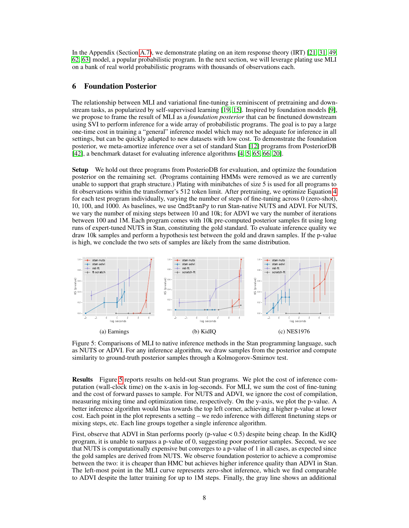In the Appendix (Section [A.7\)](#page-16-1), we demonstrate plating on an item response theory (IRT) [\[21,](#page-10-13) [31,](#page-10-14) [49,](#page-11-14) [62,](#page-12-3) [63\]](#page-12-4) model, a popular probabilistic program. In the next section, we will leverage plating use MLI on a bank of real world probabilistic programs with thousands of observations each.

# 6 Foundation Posterior

The relationship between MLI and variational fine-tuning is reminiscent of pretraining and downstream tasks, as popularized by self-supervised learning [\[19,](#page-10-6) [15\]](#page-9-8). Inspired by foundation models [\[9\]](#page-9-9), we propose to frame the result of MLI as a *foundation posterior* that can be finetuned downstream using SVI to perform inference for a wide array of probabilistic programs. The goal is to pay a large one-time cost in training a "general" inference model which may not be adequate for inference in all settings, but can be quickly adapted to new datasets with low cost. To demonstrate the foundation posterior, we meta-amortize inference over a set of standard Stan [\[12\]](#page-9-0) programs from PosteriorDB [\[42\]](#page-11-15), a benchmark dataset for evaluating inference algorithms [\[4,](#page-9-10) [5,](#page-9-11) [65,](#page-12-5) [66,](#page-12-6) [20\]](#page-10-15).

Setup We hold out three programs from PosterioDB for evaluation, and optimize the foundation posterior on the remaining set. (Programs containing HMMs were removed as we are currently unable to support that graph structure.) Plating with minibatches of size 5 is used for all programs to fit observations within the transformer's 512 token limit. After pretraining, we optimize Equation [4](#page-6-2) for each test program individually, varying the number of steps of fine-tuning across 0 (zero-shot), 10, 100, and 1000. As baselines, we use CmdStanPy to run Stan-native NUTS and ADVI. For NUTS, we vary the number of mixing steps between 10 and 10k; for ADVI we vary the number of iterations between 100 and 1M. Each program comes with 10k pre-computed posterior samples fit using long runs of expert-tuned NUTS in Stan, constituting the gold standard. To evaluate inference quality we draw 10k samples and perform a hypothesis test between the gold and drawn samples. If the p-value is high, we conclude the two sets of samples are likely from the same distribution.

<span id="page-7-0"></span>

Figure 5: Comparisons of MLI to native inference methods in the Stan programming language, such as NUTS or ADVI. For any inference algorithm, we draw samples from the posterior and compute similarity to ground-truth posterior samples through a Kolmogorov-Smirnov test.

Results Figure [5](#page-7-0) reports results on held-out Stan programs. We plot the cost of inference computation (wall-clock time) on the x-axis in log-seconds. For MLI, we sum the cost of fine-tuning and the cost of forward passes to sample. For NUTS and ADVI, we ignore the cost of compilation, measuring mixing time and optimization time, respectively. On the y-axis, we plot the p-value. A better inference algorithm would bias towards the top left corner, achieving a higher p-value at lower cost. Each point in the plot represents a setting – we redo inference with different finetuning steps or mixing steps, etc. Each line groups together a single inference algorithm.

First, observe that ADVI in Stan performs poorly (p-value  $< 0.5$ ) despite being cheap. In the KidIQ program, it is unable to surpass a p-value of 0, suggesting poor posterior samples. Second, we see that NUTS is computationally expensive but converges to a p-value of 1 in all cases, as expected since the gold samples are derived from NUTS. We observe foundation posterior to achieve a compromise between the two: it is cheaper than HMC but achieves higher inference quality than ADVI in Stan. The left-most point in the MLI curve represents zero-shot inference, which we find comparable to ADVI despite the latter training for up to 1M steps. Finally, the gray line shows an additional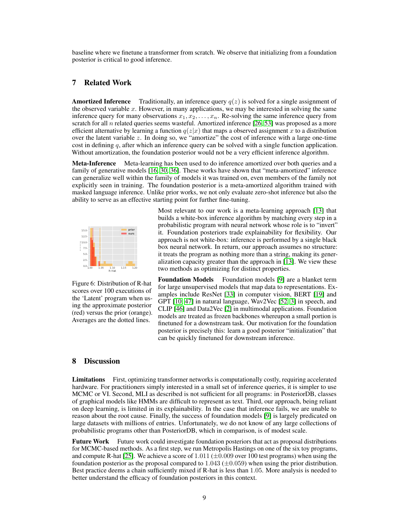baseline where we finetune a transformer from scratch. We observe that initializing from a foundation posterior is critical to good inference.

# 7 Related Work

**Amortized Inference** Traditionally, an inference query  $q(z)$  is solved for a single assignment of the observed variable  $x$ . However, in many applications, we may be interested in solving the same inference query for many observations  $x_1, x_2, \ldots, x_n$ . Re-solving the same inference query from scratch for all n related queries seems wasteful. Amortized inference [\[26,](#page-10-10) [53\]](#page-11-16) was proposed as a more efficient alternative by learning a function  $q(z|x)$  that maps a observed assignment x to a distribution over the latent variable  $z$ . In doing so, we "amortize" the cost of inference with a large one-time cost in defining q, after which an inference query can be solved with a single function application. Without amortization, the foundation posterior would not be a very efficient inference algorithm.

Meta-Inference Meta-learning has been used to do inference amortized over both queries and a family of generative models [\[16,](#page-9-7) [30,](#page-10-11) [36\]](#page-10-16). These works have shown that "meta-amortized" inference can generalize well within the family of models it was trained on, even members of the family not explicitly seen in training. The foundation posterior is a meta-amortized algorithm trained with masked language inference. Unlike prior works, we not only evaluate zero-shot inference but also the ability to serve as an effective starting point for further fine-tuning.



Figure 6: Distribution of R-hat scores over 100 executions of the 'Latent' program when using the approximate posterior (red) versus the prior (orange). Averages are the dotted lines.

Most relevant to our work is a meta-learning approach [\[13\]](#page-9-3) that builds a white-box inference algorithm by matching every step in a probabilistic program with neural network whose role is to "invert" it. Foundation posteriors trade explainability for flexibility. Our approach is not white-box: inference is performed by a single black box neural network. In return, our approach assumes no structure: it treats the program as nothing more than a string, making its generalization capacity greater than the approach in [\[13\]](#page-9-3). We view these two methods as optimizing for distinct properties.

Foundation Models Foundation models [\[9\]](#page-9-9) are a blanket term for large unsupervised models that map data to representations. Examples include ResNet [\[33\]](#page-10-17) in computer vision, BERT [\[19\]](#page-10-6) and GPT [\[10,](#page-9-12) [47\]](#page-11-17) in natural language, Wav2Vec [\[52,](#page-11-18) [3\]](#page-9-13) in speech, and CLIP [\[46\]](#page-11-19) and Data2Vec [\[2\]](#page-9-14) in multimodal applications. Foundation models are treated as frozen backbones whereupon a small portion is finetuned for a downstream task. Our motivation for the foundation posterior is precisely this: learn a good posterior "initialization" that can be quickly finetuned for downstream inference.

# 8 Discussion

**Limitations** First, optimizing transformer networks is computationally costly, requiring accelerated hardware. For practitioners simply interested in a small set of inference queries, it is simpler to use MCMC or VI. Second, MLI as described is not sufficient for all programs: in PosteriorDB, classes of graphical models like HMMs are difficult to represent as text. Third, our approach, being reliant on deep learning, is limited in its explainability. In the case that inference fails, we are unable to reason about the root cause. Finally, the success of foundation models [\[9\]](#page-9-9) is largely predicated on large datasets with millions of entries. Unfortunately, we do not know of any large collections of probabilistic programs other than PosteriorDB, which in comparison, is of modest scale.

**Future Work** Future work could investigate foundation posteriors that act as proposal distributions for MCMC-based methods. As a first step, we run Metropolis Hastings on one of the six toy programs, and compute R-hat [\[25\]](#page-10-18). We achieve a score of  $1.011 (\pm 0.009$  over 100 test programs) when using the foundation posterior as the proposal compared to  $1.043 \ (\pm 0.059)$  when using the prior distribution. Best practice deems a chain sufficiently mixed if R-hat is less than 1.05. More analysis is needed to better understand the efficacy of foundation posteriors in this context.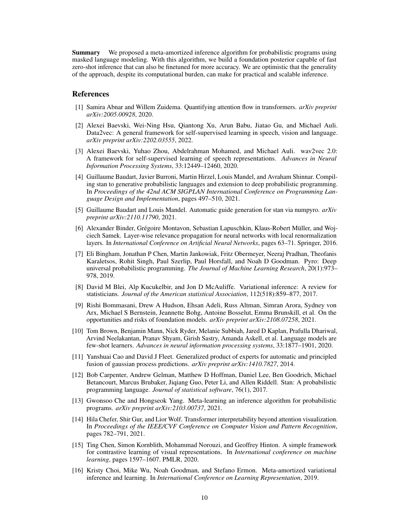Summary We proposed a meta-amortized inference algorithm for probabilistic programs using masked language modeling. With this algorithm, we build a foundation posterior capable of fast zero-shot inference that can also be finetuned for more accuracy. We are optimistic that the generality of the approach, despite its computational burden, can make for practical and scalable inference.

# References

- <span id="page-9-5"></span>[1] Samira Abnar and Willem Zuidema. Quantifying attention flow in transformers. *arXiv preprint arXiv:2005.00928*, 2020.
- <span id="page-9-14"></span>[2] Alexei Baevski, Wei-Ning Hsu, Qiantong Xu, Arun Babu, Jiatao Gu, and Michael Auli. Data2vec: A general framework for self-supervised learning in speech, vision and language. *arXiv preprint arXiv:2202.03555*, 2022.
- <span id="page-9-13"></span>[3] Alexei Baevski, Yuhao Zhou, Abdelrahman Mohamed, and Michael Auli. wav2vec 2.0: A framework for self-supervised learning of speech representations. *Advances in Neural Information Processing Systems*, 33:12449–12460, 2020.
- <span id="page-9-10"></span>[4] Guillaume Baudart, Javier Burroni, Martin Hirzel, Louis Mandel, and Avraham Shinnar. Compiling stan to generative probabilistic languages and extension to deep probabilistic programming. In *Proceedings of the 42nd ACM SIGPLAN International Conference on Programming Language Design and Implementation*, pages 497–510, 2021.
- <span id="page-9-11"></span>[5] Guillaume Baudart and Louis Mandel. Automatic guide generation for stan via numpyro. *arXiv preprint arXiv:2110.11790*, 2021.
- <span id="page-9-4"></span>[6] Alexander Binder, Grégoire Montavon, Sebastian Lapuschkin, Klaus-Robert Müller, and Wojciech Samek. Layer-wise relevance propagation for neural networks with local renormalization layers. In *International Conference on Artificial Neural Networks*, pages 63–71. Springer, 2016.
- <span id="page-9-1"></span>[7] Eli Bingham, Jonathan P Chen, Martin Jankowiak, Fritz Obermeyer, Neeraj Pradhan, Theofanis Karaletsos, Rohit Singh, Paul Szerlip, Paul Horsfall, and Noah D Goodman. Pyro: Deep universal probabilistic programming. *The Journal of Machine Learning Research*, 20(1):973– 978, 2019.
- <span id="page-9-2"></span>[8] David M Blei, Alp Kucukelbir, and Jon D McAuliffe. Variational inference: A review for statisticians. *Journal of the American statistical Association*, 112(518):859–877, 2017.
- <span id="page-9-9"></span>[9] Rishi Bommasani, Drew A Hudson, Ehsan Adeli, Russ Altman, Simran Arora, Sydney von Arx, Michael S Bernstein, Jeannette Bohg, Antoine Bosselut, Emma Brunskill, et al. On the opportunities and risks of foundation models. *arXiv preprint arXiv:2108.07258*, 2021.
- <span id="page-9-12"></span>[10] Tom Brown, Benjamin Mann, Nick Ryder, Melanie Subbiah, Jared D Kaplan, Prafulla Dhariwal, Arvind Neelakantan, Pranav Shyam, Girish Sastry, Amanda Askell, et al. Language models are few-shot learners. *Advances in neural information processing systems*, 33:1877–1901, 2020.
- <span id="page-9-15"></span>[11] Yanshuai Cao and David J Fleet. Generalized product of experts for automatic and principled fusion of gaussian process predictions. *arXiv preprint arXiv:1410.7827*, 2014.
- <span id="page-9-0"></span>[12] Bob Carpenter, Andrew Gelman, Matthew D Hoffman, Daniel Lee, Ben Goodrich, Michael Betancourt, Marcus Brubaker, Jiqiang Guo, Peter Li, and Allen Riddell. Stan: A probabilistic programming language. *Journal of statistical software*, 76(1), 2017.
- <span id="page-9-3"></span>[13] Gwonsoo Che and Hongseok Yang. Meta-learning an inference algorithm for probabilistic programs. *arXiv preprint arXiv:2103.00737*, 2021.
- <span id="page-9-6"></span>[14] Hila Chefer, Shir Gur, and Lior Wolf. Transformer interpretability beyond attention visualization. In *Proceedings of the IEEE/CVF Conference on Computer Vision and Pattern Recognition*, pages 782–791, 2021.
- <span id="page-9-8"></span>[15] Ting Chen, Simon Kornblith, Mohammad Norouzi, and Geoffrey Hinton. A simple framework for contrastive learning of visual representations. In *International conference on machine learning*, pages 1597–1607. PMLR, 2020.
- <span id="page-9-7"></span>[16] Kristy Choi, Mike Wu, Noah Goodman, and Stefano Ermon. Meta-amortized variational inference and learning. In *International Conference on Learning Representation*, 2019.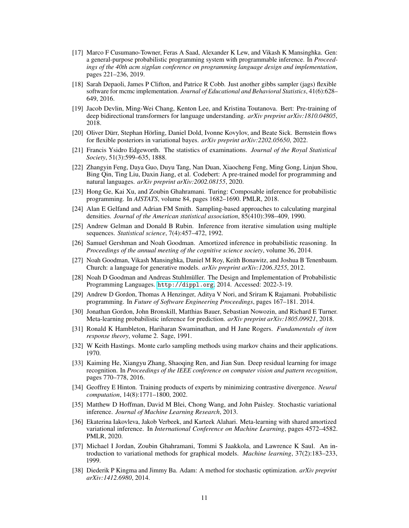- <span id="page-10-5"></span>[17] Marco F Cusumano-Towner, Feras A Saad, Alexander K Lew, and Vikash K Mansinghka. Gen: a general-purpose probabilistic programming system with programmable inference. In *Proceedings of the 40th acm sigplan conference on programming language design and implementation*, pages 221–236, 2019.
- <span id="page-10-3"></span>[18] Sarah Depaoli, James P Clifton, and Patrice R Cobb. Just another gibbs sampler (jags) flexible software for mcmc implementation. *Journal of Educational and Behavioral Statistics*, 41(6):628– 649, 2016.
- <span id="page-10-6"></span>[19] Jacob Devlin, Ming-Wei Chang, Kenton Lee, and Kristina Toutanova. Bert: Pre-training of deep bidirectional transformers for language understanding. *arXiv preprint arXiv:1810.04805*, 2018.
- <span id="page-10-15"></span>[20] Oliver Dürr, Stephan Hörling, Daniel Dold, Ivonne Kovylov, and Beate Sick. Bernstein flows for flexible posteriors in variational bayes. *arXiv preprint arXiv:2202.05650*, 2022.
- <span id="page-10-13"></span>[21] Francis Ysidro Edgeworth. The statistics of examinations. *Journal of the Royal Statistical Society*, 51(3):599–635, 1888.
- <span id="page-10-20"></span>[22] Zhangyin Feng, Daya Guo, Duyu Tang, Nan Duan, Xiaocheng Feng, Ming Gong, Linjun Shou, Bing Qin, Ting Liu, Daxin Jiang, et al. Codebert: A pre-trained model for programming and natural languages. *arXiv preprint arXiv:2002.08155*, 2020.
- <span id="page-10-4"></span>[23] Hong Ge, Kai Xu, and Zoubin Ghahramani. Turing: Composable inference for probabilistic programming. In *AISTATS*, volume 84, pages 1682–1690. PMLR, 2018.
- <span id="page-10-8"></span>[24] Alan E Gelfand and Adrian FM Smith. Sampling-based approaches to calculating marginal densities. *Journal of the American statistical association*, 85(410):398–409, 1990.
- <span id="page-10-18"></span>[25] Andrew Gelman and Donald B Rubin. Inference from iterative simulation using multiple sequences. *Statistical science*, 7(4):457–472, 1992.
- <span id="page-10-10"></span>[26] Samuel Gershman and Noah Goodman. Amortized inference in probabilistic reasoning. In *Proceedings of the annual meeting of the cognitive science society*, volume 36, 2014.
- <span id="page-10-1"></span>[27] Noah Goodman, Vikash Mansinghka, Daniel M Roy, Keith Bonawitz, and Joshua B Tenenbaum. Church: a language for generative models. *arXiv preprint arXiv:1206.3255*, 2012.
- <span id="page-10-2"></span>[28] Noah D Goodman and Andreas Stuhlmüller. The Design and Implementation of Probabilistic Programming Languages. <http://dippl.org>, 2014. Accessed: 2022-3-19.
- <span id="page-10-0"></span>[29] Andrew D Gordon, Thomas A Henzinger, Aditya V Nori, and Sriram K Rajamani. Probabilistic programming. In *Future of Software Engineering Proceedings*, pages 167–181. 2014.
- <span id="page-10-11"></span>[30] Jonathan Gordon, John Bronskill, Matthias Bauer, Sebastian Nowozin, and Richard E Turner. Meta-learning probabilistic inference for prediction. *arXiv preprint arXiv:1805.09921*, 2018.
- <span id="page-10-14"></span>[31] Ronald K Hambleton, Hariharan Swaminathan, and H Jane Rogers. *Fundamentals of item response theory*, volume 2. Sage, 1991.
- <span id="page-10-7"></span>[32] W Keith Hastings. Monte carlo sampling methods using markov chains and their applications. 1970.
- <span id="page-10-17"></span>[33] Kaiming He, Xiangyu Zhang, Shaoqing Ren, and Jian Sun. Deep residual learning for image recognition. In *Proceedings of the IEEE conference on computer vision and pattern recognition*, pages 770–778, 2016.
- <span id="page-10-21"></span>[34] Geoffrey E Hinton. Training products of experts by minimizing contrastive divergence. *Neural computation*, 14(8):1771–1800, 2002.
- <span id="page-10-12"></span>[35] Matthew D Hoffman, David M Blei, Chong Wang, and John Paisley. Stochastic variational inference. *Journal of Machine Learning Research*, 2013.
- <span id="page-10-16"></span>[36] Ekaterina Iakovleva, Jakob Verbeek, and Karteek Alahari. Meta-learning with shared amortized variational inference. In *International Conference on Machine Learning*, pages 4572–4582. PMLR, 2020.
- <span id="page-10-9"></span>[37] Michael I Jordan, Zoubin Ghahramani, Tommi S Jaakkola, and Lawrence K Saul. An introduction to variational methods for graphical models. *Machine learning*, 37(2):183–233, 1999.
- <span id="page-10-19"></span>[38] Diederik P Kingma and Jimmy Ba. Adam: A method for stochastic optimization. *arXiv preprint arXiv:1412.6980*, 2014.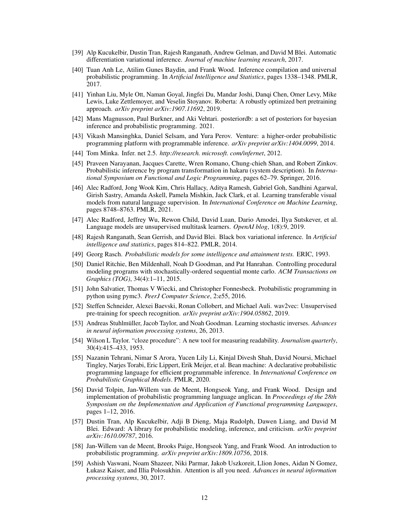- <span id="page-11-13"></span>[39] Alp Kucukelbir, Dustin Tran, Rajesh Ranganath, Andrew Gelman, and David M Blei. Automatic differentiation variational inference. *Journal of machine learning research*, 2017.
- <span id="page-11-10"></span>[40] Tuan Anh Le, Atilim Gunes Baydin, and Frank Wood. Inference compilation and universal probabilistic programming. In *Artificial Intelligence and Statistics*, pages 1338–1348. PMLR, 2017.
- <span id="page-11-20"></span>[41] Yinhan Liu, Myle Ott, Naman Goyal, Jingfei Du, Mandar Joshi, Danqi Chen, Omer Levy, Mike Lewis, Luke Zettlemoyer, and Veselin Stoyanov. Roberta: A robustly optimized bert pretraining approach. *arXiv preprint arXiv:1907.11692*, 2019.
- <span id="page-11-15"></span>[42] Mans Magnusson, Paul Burkner, and Aki Vehtari. posteriordb: a set of posteriors for bayesian inference and probabilistic programming. 2021.
- <span id="page-11-2"></span>[43] Vikash Mansinghka, Daniel Selsam, and Yura Perov. Venture: a higher-order probabilistic programming platform with programmable inference. *arXiv preprint arXiv:1404.0099*, 2014.
- <span id="page-11-1"></span>[44] Tom Minka. Infer. net 2.5. *http://research. microsoft. com/infernet*, 2012.
- <span id="page-11-4"></span>[45] Praveen Narayanan, Jacques Carette, Wren Romano, Chung-chieh Shan, and Robert Zinkov. Probabilistic inference by program transformation in hakaru (system description). In *International Symposium on Functional and Logic Programming*, pages 62–79. Springer, 2016.
- <span id="page-11-19"></span>[46] Alec Radford, Jong Wook Kim, Chris Hallacy, Aditya Ramesh, Gabriel Goh, Sandhini Agarwal, Girish Sastry, Amanda Askell, Pamela Mishkin, Jack Clark, et al. Learning transferable visual models from natural language supervision. In *International Conference on Machine Learning*, pages 8748–8763. PMLR, 2021.
- <span id="page-11-17"></span>[47] Alec Radford, Jeffrey Wu, Rewon Child, David Luan, Dario Amodei, Ilya Sutskever, et al. Language models are unsupervised multitask learners. *OpenAI blog*, 1(8):9, 2019.
- <span id="page-11-12"></span>[48] Rajesh Ranganath, Sean Gerrish, and David Blei. Black box variational inference. In *Artificial intelligence and statistics*, pages 814–822. PMLR, 2014.
- <span id="page-11-14"></span>[49] Georg Rasch. *Probabilistic models for some intelligence and attainment tests.* ERIC, 1993.
- <span id="page-11-8"></span>[50] Daniel Ritchie, Ben Mildenhall, Noah D Goodman, and Pat Hanrahan. Controlling procedural modeling programs with stochastically-ordered sequential monte carlo. *ACM Transactions on Graphics (TOG)*, 34(4):1–11, 2015.
- <span id="page-11-5"></span>[51] John Salvatier, Thomas V Wiecki, and Christopher Fonnesbeck. Probabilistic programming in python using pymc3. *PeerJ Computer Science*, 2:e55, 2016.
- <span id="page-11-18"></span>[52] Steffen Schneider, Alexei Baevski, Ronan Collobert, and Michael Auli. wav2vec: Unsupervised pre-training for speech recognition. *arXiv preprint arXiv:1904.05862*, 2019.
- <span id="page-11-16"></span>[53] Andreas Stuhlmüller, Jacob Taylor, and Noah Goodman. Learning stochastic inverses. *Advances in neural information processing systems*, 26, 2013.
- <span id="page-11-11"></span>[54] Wilson L Taylor. "cloze procedure": A new tool for measuring readability. *Journalism quarterly*, 30(4):415–433, 1953.
- <span id="page-11-7"></span>[55] Nazanin Tehrani, Nimar S Arora, Yucen Lily Li, Kinjal Divesh Shah, David Noursi, Michael Tingley, Narjes Torabi, Eric Lippert, Erik Meijer, et al. Bean machine: A declarative probabilistic programming language for efficient programmable inference. In *International Conference on Probabilistic Graphical Models*. PMLR, 2020.
- <span id="page-11-3"></span>[56] David Tolpin, Jan-Willem van de Meent, Hongseok Yang, and Frank Wood. Design and implementation of probabilistic programming language anglican. In *Proceedings of the 28th Symposium on the Implementation and Application of Functional programming Languages*, pages 1–12, 2016.
- <span id="page-11-6"></span>[57] Dustin Tran, Alp Kucukelbir, Adji B Dieng, Maja Rudolph, Dawen Liang, and David M Blei. Edward: A library for probabilistic modeling, inference, and criticism. *arXiv preprint arXiv:1610.09787*, 2016.
- <span id="page-11-0"></span>[58] Jan-Willem van de Meent, Brooks Paige, Hongseok Yang, and Frank Wood. An introduction to probabilistic programming. *arXiv preprint arXiv:1809.10756*, 2018.
- <span id="page-11-9"></span>[59] Ashish Vaswani, Noam Shazeer, Niki Parmar, Jakob Uszkoreit, Llion Jones, Aidan N Gomez, Łukasz Kaiser, and Illia Polosukhin. Attention is all you need. *Advances in neural information processing systems*, 30, 2017.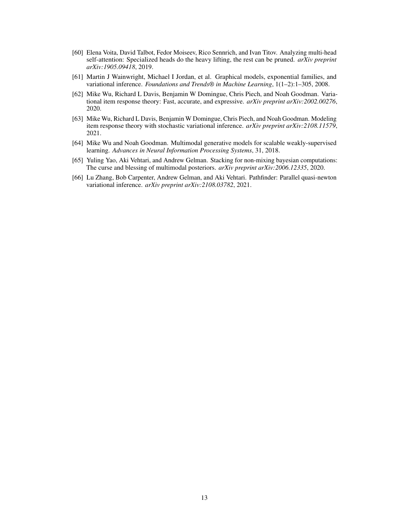- <span id="page-12-2"></span>[60] Elena Voita, David Talbot, Fedor Moiseev, Rico Sennrich, and Ivan Titov. Analyzing multi-head self-attention: Specialized heads do the heavy lifting, the rest can be pruned. *arXiv preprint arXiv:1905.09418*, 2019.
- <span id="page-12-0"></span>[61] Martin J Wainwright, Michael I Jordan, et al. Graphical models, exponential families, and variational inference. *Foundations and Trends® in Machine Learning*, 1(1–2):1–305, 2008.
- <span id="page-12-3"></span>[62] Mike Wu, Richard L Davis, Benjamin W Domingue, Chris Piech, and Noah Goodman. Variational item response theory: Fast, accurate, and expressive. *arXiv preprint arXiv:2002.00276*, 2020.
- <span id="page-12-4"></span>[63] Mike Wu, Richard L Davis, Benjamin W Domingue, Chris Piech, and Noah Goodman. Modeling item response theory with stochastic variational inference. *arXiv preprint arXiv:2108.11579*, 2021.
- <span id="page-12-1"></span>[64] Mike Wu and Noah Goodman. Multimodal generative models for scalable weakly-supervised learning. *Advances in Neural Information Processing Systems*, 31, 2018.
- <span id="page-12-5"></span>[65] Yuling Yao, Aki Vehtari, and Andrew Gelman. Stacking for non-mixing bayesian computations: The curse and blessing of multimodal posteriors. *arXiv preprint arXiv:2006.12335*, 2020.
- <span id="page-12-6"></span>[66] Lu Zhang, Bob Carpenter, Andrew Gelman, and Aki Vehtari. Pathfinder: Parallel quasi-newton variational inference. *arXiv preprint arXiv:2108.03782*, 2021.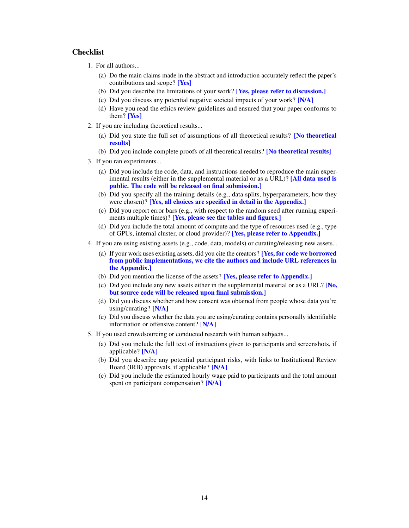# **Checklist**

- 1. For all authors...
	- (a) Do the main claims made in the abstract and introduction accurately reflect the paper's contributions and scope? [Yes]
	- (b) Did you describe the limitations of your work? [Yes, please refer to discussion.]
	- (c) Did you discuss any potential negative societal impacts of your work? [N/A]
	- (d) Have you read the ethics review guidelines and ensured that your paper conforms to them? [Yes]
- 2. If you are including theoretical results...
	- (a) Did you state the full set of assumptions of all theoretical results? [No theoretical results]
	- (b) Did you include complete proofs of all theoretical results? **[No theoretical results**]
- 3. If you ran experiments...
	- (a) Did you include the code, data, and instructions needed to reproduce the main experimental results (either in the supplemental material or as a URL)? [All data used is public. The code will be released on final submission.]
	- (b) Did you specify all the training details (e.g., data splits, hyperparameters, how they were chosen)? [Yes, all choices are specified in detail in the Appendix.]
	- (c) Did you report error bars (e.g., with respect to the random seed after running experiments multiple times)? [Yes, please see the tables and figures.]
	- (d) Did you include the total amount of compute and the type of resources used (e.g., type of GPUs, internal cluster, or cloud provider)? [Yes, please refer to Appendix.]
- 4. If you are using existing assets (e.g., code, data, models) or curating/releasing new assets...
	- (a) If your work uses existing assets, did you cite the creators? [Yes, for code we borrowed from public implementations, we cite the authors and include URL references in the Appendix.]
	- (b) Did you mention the license of the assets? [Yes, please refer to Appendix.]
	- (c) Did you include any new assets either in the supplemental material or as a URL?  $\overline{[No]}$ but source code will be released upon final submission.]
	- (d) Did you discuss whether and how consent was obtained from people whose data you're using/curating? [N/A]
	- (e) Did you discuss whether the data you are using/curating contains personally identifiable information or offensive content? [N/A]
- 5. If you used crowdsourcing or conducted research with human subjects...
	- (a) Did you include the full text of instructions given to participants and screenshots, if applicable? [N/A]
	- (b) Did you describe any potential participant risks, with links to Institutional Review Board (IRB) approvals, if applicable? [N/A]
	- (c) Did you include the estimated hourly wage paid to participants and the total amount spent on participant compensation? [N/A]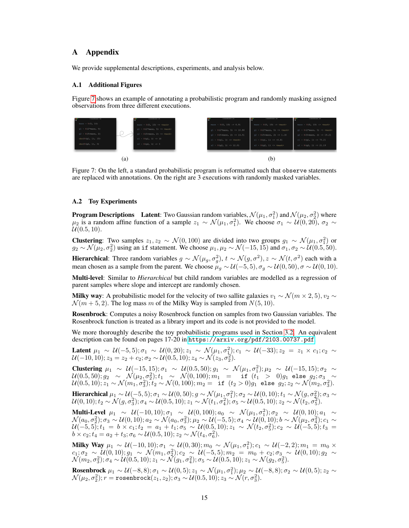# A Appendix

We provide supplemental descriptions, experiments, and analysis below.

# A.1 Additional Figures

Figure [7](#page-14-1) shows an example of annotating a probabilistic program and randomly masking assigned observations from three different executions.

<span id="page-14-1"></span>

Figure 7: On the left, a standard probabilistic program is reformatted such that observe statements are replaced with annotations. On the right are 3 executions with randomly masked variables.

## <span id="page-14-0"></span>A.2 Toy Experiments

**Program Descriptions** Latent: Two Gaussian random variables,  $\mathcal{N}(\mu_1, \sigma_1^2)$  and  $\mathcal{N}(\mu_2, \sigma_2^2)$  where  $\mu_2$  is a random affine function of a sample  $z_1 \sim \mathcal{N}(\mu_1, \sigma_1^2)$ . We choose  $\sigma_1 \sim \mathcal{U}(0, 20)$ ,  $\sigma_2 \sim$  $U(0.5, 10)$ .

**Clustering**: Two samples  $z_1, z_2 \sim \mathcal{N}(0, 100)$  are divided into two groups  $g_1 \sim \mathcal{N}(\mu_1, \sigma_1^2)$  or  $g_2 \sim \mathcal{N}(\mu_2, \sigma_2^2)$  using an if statement. We choose  $\mu_1, \mu_2 \sim \mathcal{N}(-15, 15)$  and  $\sigma_1, \sigma_2 \sim \mathcal{U}(0.5, 50)$ .

**Hierarchical:** Three random variables  $g \sim \mathcal{N}(\mu_g, \sigma_g^2)$ ,  $t \sim \mathcal{N}(g, \sigma^2)$ ,  $z \sim \mathcal{N}(t, \sigma^2)$  each with a mean chosen as a sample from the parent. We choose  $\mu_g \sim \mathcal{U}(-5, 5)$ ,  $\sigma_g \sim \mathcal{U}(0, 50)$ ,  $\sigma \sim \mathcal{U}(0, 10)$ .

Multi-level: Similar to *Hierarchical* but child random variables are modelled as a regression of parent samples where slope and intercept are randomly chosen.

Milky way: A probabilistic model for the velocity of two sallite galaxies  $v_1 \sim \mathcal{N}(m \times 2, 5)$ ,  $v_2 \sim$  $\mathcal{N}(m+5, 2)$ . The log mass m of the Milky Way is sampled from  $N(5, 10)$ .

Rosenbrock: Computes a noisy Rosenbrock function on samples from two Gaussian variables. The Rosenbrock function is treated as a library import and its code is not provided to the model.

We more thoroughly describe the toy probabilistic programs used in Section [3.2.](#page-3-2) An equivalent description can be found on pages 17-20 in <https://arxiv.org/pdf/2103.00737.pdf>.

Latent  $\mu_1 \sim \mathcal{U}(-5,5)$ ;  $\sigma_1 \sim \mathcal{U}(0,20)$ ;  $z_1 \sim \mathcal{N}(\mu_1, \sigma_1^2)$ ;  $c_1 \sim \mathcal{U}(-33)$ ;  $z_2 = z_1 \times c_1$ ;  $c_2 \sim$  $\mathcal{U}(-10, 10); z_3 = z_2 + c_2; \sigma_2 \sim \mathcal{U}(0.5, 10); z_4 \sim \mathcal{N}(z_3, \sigma_2^2).$ 

Clustering  $μ_1 ~ ∼ ~ U(-15, 15); σ_1 ~ ∼ ~ U(0.5, 50); g_1 ~ ∼ ~ \mathcal{N}(\mu_1, \sigma_1^2); μ_2 ~ ∼ ~ \mathcal{U}(-15, 15); σ_2 ~ ∼$  $\mathcal{U}(0.5, 50); g_2 ~\sim~ \mathcal{N}(\mu_2, \sigma_2^2); t_1 ~\sim~ \mathcal{N}(0, 100); m_1 ~~=~~~\texttt{if}~\; (t_1 ~>~ 0) g_1$  else  $g_2; \sigma_3 ~\sim~$  $\mathcal{U}(0.5, 10); z_1\sim \mathcal{N}(m_1, \sigma_3^2); t_2\sim \mathcal{N}(0, 100); m_2 = \texttt{ if } (t_2>0)g_1 \texttt{ else } g_2; z_2\sim \mathcal{N}(m_2, \sigma_3^2).$ 

Hierarchical  $\mu_1 \sim \mathcal{U}(-5, 5)$ ;  $\sigma_1 \sim \mathcal{U}(0, 50)$ ;  $g \sim \mathcal{N}(\mu_1, \sigma_1^2)$ ;  $\sigma_2 \sim \mathcal{U}(0, 10)$ ;  $t_1 \sim \mathcal{N}(g, \sigma_2^2)$ ;  $\sigma_3 \sim$  $\mathcal{U}(0, 10); t_2 \sim \mathcal{N}(g, \sigma_3^2); \sigma_4 \sim \mathcal{U}(0.5, 10); z_1 \sim \mathcal{N}(t_1, \sigma_4^2); \sigma_5 \sim \mathcal{U}(0.5, 10); z_2 \sim \mathcal{N}(t_2, \sigma_5^2).$ 

Multi-Level  $\mu_1$  ~ U(−10,10);  $\sigma_1$  ~ U(0,100);  $a_0$  ~ N( $\mu_1, \sigma_1^2$ );  $\sigma_2$  ~ U(0,10);  $a_1$  ~  $\mathcal{N}(a_0, \sigma_2^2); \sigma_3 \sim \mathcal{U}(0, 10); a_2 \sim \mathcal{N}(a_0, \sigma_3^2); \mu_2 \sim \mathcal{U}(-5, 5); \sigma_4 \sim \mathcal{U}(0, 10); b \sim \mathcal{N}(\mu_2, \sigma_4^2); c_1 \sim$  $\mathcal{U}(-5,5)$ ;  $t_1\,=\,b\times c_1;t_2\,=\,a_1+t_1;\sigma_5\,\sim\,\mathcal{U}(0.5,10);$   $z_1\,\sim\,\mathcal{N}(t_2,\sigma_5^2);$   $c_2\,\sim\,\mathcal{U}(-5,5);$   $t_3\,=\,$  $b \times c_2$ ;  $t_4 = a_2 + t_3$ ;  $\sigma_6 \sim \mathcal{U}(0.5, 10)$ ;  $z_2 \sim \mathcal{N}(t_4, \sigma_6^2)$ .

Milky Way  $μ_1 ~ ∼ U(-10, 10); σ_1 ~ √ U(0, 30); m_0 ~ ∼ N(μ_1, σ_1^2); c_1 ~ ∼ U(-2, 2); m_1 = m_0 × w_1^2$  $c_1;\sigma_2 \sim \mathcal{U}(0,10); g_1 \sim \mathcal{N}(m_1,\sigma_2^2); c_2 \sim \mathcal{U}(-5,5); m_2 \ = \ m_0 \ + \ c_2;\sigma_3 \sim \mathcal{U}(0,10); g_2 \ \sim \ \mathcal{U}(-5,5); m_1 \sim \mathcal{U}(-5,5); m_2 \ = \ m_0 \ + \ c_2;\sigma_3 \sim \mathcal{U}(0,10);$  $\mathcal{N}(m_2, \sigma_3^2); \sigma_4 \sim \mathcal{U}(0.5, 10); z_1 \sim \mathcal{\bar{N}}(g_1, \sigma_4^2); \sigma_5 \sim \mathcal{U}(0.5, 10); z_1 \sim \mathcal{N}(g_2, \sigma_5^2).$ 

Rosenbrock  $\mu_1 \sim \mathcal{U}(-8,8)$ ;  $\sigma_1 \sim \mathcal{U}(0,5)$ ;  $z_1 \sim \mathcal{N}(\mu_1, \sigma_1^2)$ ;  $\mu_2 \sim \mathcal{U}(-8,8)$ ;  $\sigma_2 \sim \mathcal{U}(0,5)$ ;  $z_2 \sim$  $\mathcal{N}(\mu_2, \sigma_2^2); r = \texttt{rosenbrock}(z_1, z_2); \sigma_3 \sim \mathcal{U}(0.5, 10); z_3 \sim \mathcal{N}(r, \sigma_3^2).$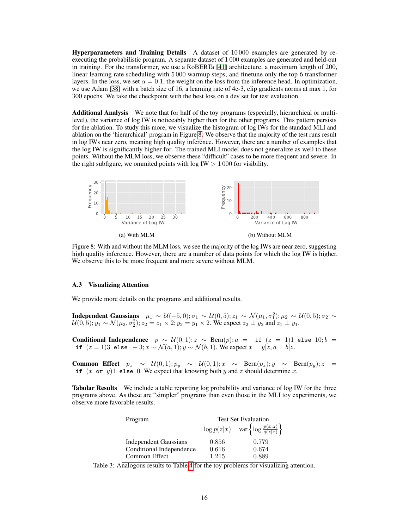Hyperparameters and Training Details A dataset of 10 000 examples are generated by reexecuting the probabilistic program. A separate dataset of 1 000 examples are generated and held-out in training. For the transformer, we use a RoBERTa [\[41\]](#page-11-20) architecture, a maximum length of 200, linear learning rate scheduling with 5 000 warmup steps, and finetune only the top 6 transformer layers. In the loss, we set  $\alpha = 0.1$ , the weight on the loss from the inference head. In optimization, we use Adam [\[38\]](#page-10-19) with a batch size of 16, a learning rate of 4e-3, clip gradients norms at max 1, for 300 epochs. We take the checkpoint with the best loss on a dev set for test evaluation.

Additional Analysis We note that for half of the toy programs (especially, hierarchical or multilevel), the variance of log IW is noticeably higher than for the other programs. This pattern persists for the ablation. To study this more, we visualize the histogram of log IWs for the standard MLI and ablation on the 'hierarchical' program in Figure [8.](#page-15-1) We observe that the majority of the test runs result in log IWs near zero, meaning high quality inference. However, there are a number of examples that the log IW is significantly higher for. The trained MLI model does not generalize as well to these points. Without the MLM loss, we observe these "difficult" cases to be more frequent and severe. In the right subfigure, we ommited points with  $log$  IW  $> 1000$  for visibility.

<span id="page-15-1"></span>

Figure 8: With and without the MLM loss, we see the majority of the log IWs are near zero, suggesting high quality inference. However, there are a number of data points for which the log IW is higher. We observe this to be more frequent and more severe without MLM.

#### <span id="page-15-0"></span>A.3 Visualizing Attention

We provide more details on the programs and additional results.

**Independent Gaussians**  $\mu_1 \sim \mathcal{U}(-5,0); \sigma_1 \sim \mathcal{U}(0,5); z_1 \sim \mathcal{N}(\mu_1, \sigma_1^2); \mu_2 \sim \mathcal{U}(0,5); \sigma_2 \sim$  $\mathcal{U}(0, 5); y_1 \sim \mathcal{N}(\mu_2, \sigma_2^2); z_2 = z_1 \times 2; y_2 = y_1 \times 2.$  We expect  $z_2 \perp y_2$  and  $z_1 \perp y_1$ .

Conditional Independence  $p \sim \mathcal{U}(0,1); z \sim \text{Bern}(p); a = \text{if } (z = 1)1 \text{ else } 10; b =$ if  $(z = 1)3$  else  $-3$ ;  $x \sim \mathcal{N}(a, 1)$ ;  $y \sim \mathcal{N}(b, 1)$ . We expect  $x \perp y | z, a \perp b | z$ .

Common Effect  $p_x \sim \mathcal{U}(0, 1); p_y \sim \mathcal{U}(0, 1); x \sim \text{Bern}(p_x); y \sim \text{Bern}(p_y); z =$ if  $(x \text{ or } y)$ 1 else 0. We expect that knowing both y and z should determine x.

Tabular Results We include a table reporting log probability and variance of log IW for the three programs above. As these are "simpler" programs than even those in the MLI toy experiments, we observe more favorable results.

| Program                      | <b>Test Set Evaluation</b> |                                                               |
|------------------------------|----------------------------|---------------------------------------------------------------|
|                              |                            | $\log p(z x)$ var $\left\{\log \frac{p(x,z)}{q(z x)}\right\}$ |
| <b>Independent Gaussians</b> | 0.856                      | 0.779                                                         |
| Conditional Independence     | 0.616                      | 0.674                                                         |
| Common Effect                | 1.215                      | 0.889                                                         |

Table 3: Analogous results to Table [4](#page-16-0) for the toy problems for visualizing attention.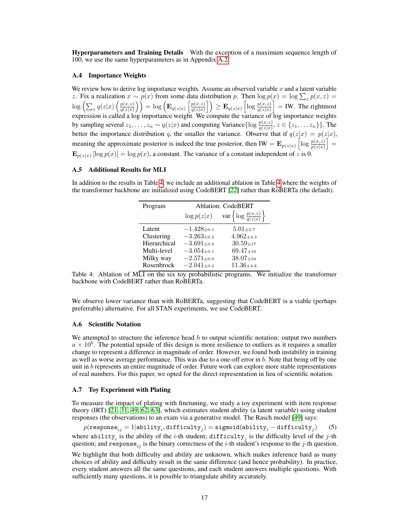Hyperparameters and Training Details With the exception of a maximum sequence length of 100, we use the same hyperparameters as in Appendix [A.2.](#page-14-0)

## A.4 Importance Weights

We review how to derive log importance weights. Assume an observed variable  $x$  and a latent variable z. Fix a realization  $x \sim p(x)$  from some data distribution p. Then  $\log p(x) = \log \sum_{z} p(x, z) =$  $\log\left(\sum_z q(z|x)\left(\frac{p(x,z)}{q(z|x)}\right)\right)$  $\left(\frac{p(x,z)}{q(z|x)}\right) = \log \left(\mathbf{E}_{q(z|x)}\left[\frac{p(x,z)}{q(z|x)}\right]\right)$  $\left(\frac{p(x,z)}{q(z|x)}\right| \ge \mathbf{E}_{q(z|x)}\left[\log \frac{p(x,z)}{q(z|x)}\right] = \text{IW}$ . The rightmost expression is called a log importance weight. We compute the variance of log importance weights by sampling several  $z_1, \ldots, z_n \sim q(z|x)$  and computing Variance { $\log \frac{p(x,z)}{q(z|x)}, z \in \{z_1, \ldots z_n\}$  }. The better the importance distribution q, the smaller the variance. Observe that if  $q(z|x) = p(z|x)$ , meaning the approximate posterior is indeed the true posterior, then IW =  $\mathbf{E}_{p(z|x)}\left[\log \frac{p(x,z)}{p(z|x)}\right]$  =  $\mathbf{E}_{p(z|x)} [\log p(x)] = \log p(x)$ , a constant. The variance of a constant independent of z is 0.

#### A.5 Additional Results for MLI

<span id="page-16-0"></span>In addition to the results in Table [4,](#page-16-0) we include an additional ablation in Table [4](#page-16-0) where the weights of the transformer backbone are initialized using CodeBERT [\[22\]](#page-10-20) rather than RoBERTa (the default).

| Program      | <b>Ablation: CodeBERT</b> |                                                 |  |
|--------------|---------------------------|-------------------------------------------------|--|
|              | $\log p(z x)$             | var $\left\{\log \frac{p(x,z)}{q(z x)}\right\}$ |  |
| Latent       | $-1.428 + 0.1$            | $5.01 + 2.7$                                    |  |
| Clustering   | $-3.263_{\pm0.2}$         | $4.962_{\pm 4.3}$                               |  |
| Hierarchical | $-3.691_{\pm0.0}$         | $30.59{\scriptstyle \pm17}$                     |  |
| Multi-level  | $-3.054_{\pm0.1}$         | $69.47_{\pm 16}$                                |  |
| Milky way    | $-2.571_{\pm0.0}$         | $38.07 \pm 34$                                  |  |
| Rosenbrock   | $-2.041_{\pm0.2}$         | $11.36{\scriptstyle \pm4.8}$                    |  |

Table 4: Ablation of MLI on the six toy probabilistic programs. We initialize the transformer backbone with CodeBERT rather than RoBERTa.

We observe lower variance than with RoBERTa, suggesting that CodeBERT is a viable (perhaps preferrable) alternative. For all STAN experiments, we use CodeBERT.

#### A.6 Scientific Notation

We attempted to structure the inference head  $h$  to output scientific notation: output two numbers  $a \times 10^b$ . The potential upside of this design is more resilience to outliers as it requires a smaller change to represent a difference in magnitude of order. However, we found both instability in training as well as worse average performance. This was due to a one-off error in  $b$ . Note that being off by one unit in b represents an entire magnitude of order. Future work can explore more stable representations of real numbers. For this paper, we opted for the direct representation in lieu of scientific notation.

#### <span id="page-16-1"></span>A.7 Toy Experiment with Plating

To measure the impact of plating with finetuning, we study a toy experiment with item response theory (IRT) [\[21,](#page-10-13) [31,](#page-10-14) [49,](#page-11-14) [62,](#page-12-3) [63\]](#page-12-4), which estimates student ability (a latent variable) using student responses (the observations) to an exam via a generative model. The Rasch model [\[49\]](#page-11-14) says:

 $p({\tt response}_{ij} = 1|{\tt ability}_i, {\tt difficulty}_j) = {\tt sigmoid}({\tt ability}_i - {\tt difficulty}_j)$ ) (5) where ability<sub>*i*</sub> is the ability of the *i*-th student; difficulty<sub>*j*</sub> is the difficulty level of the *j*-th question; and response<sub>ij</sub> is the binary correctness of the *i*-th student's response to the *j*-th question.

We highlight that both difficulty and ability are unknown, which makes inference hard as many choices of ability and difficulty result in the same difference (and hence probability). In practice, every student answers all the same questions, and each student answers multiple questions. With sufficiently many questions, it is possible to triangulate ability accurately.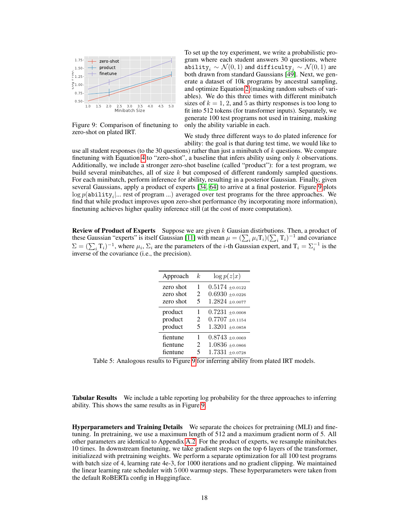<span id="page-17-0"></span>

Figure 9: Comparison of finetuning to zero-shot on plated IRT.

To set up the toy experiment, we write a probabilistic program where each student answers 30 questions, where ability $_i \sim \mathcal{N}(0, 1)$  and difficulty $_j \sim \mathcal{N}(0, 1)$  are both drawn from standard Gaussians [\[49\]](#page-11-14). Next, we generate a dataset of 10k programs by ancestral sampling, and optimize Equation [2](#page-3-0) (masking random subsets of variables). We do this three times with different minibatch sizes of  $k = 1, 2$ , and 5 as thirty responses is too long to fit into 512 tokens (for transformer inputs). Separately, we generate 100 test programs not used in training, masking only the ability variable in each.

We study three different ways to do plated inference for ability: the goal is that during test time, we would like to

use all student responses (to the 30 questions) rather than just a minibatch of  $k$  questions. We compare finetuning with Equation [4](#page-6-2) to "zero-shot", a baseline that infers ability using only  $k$  observations. Additionally, we include a stronger zero-shot baseline (called "product"): for a test program, we build several minibatches, all of size  $k$  but composed of different randomly sampled questions. For each minibatch, perform inference for ability, resulting in a posterior Gaussian. Finally, given several Gaussians, apply a product of experts [\[34,](#page-10-21) [64\]](#page-12-1) to arrive at a final posterior. Figure [9](#page-17-0) plots  $\log p(\texttt{ability}_i | ...$  rest of program ...) averaged over test programs for the three approaches. We find that while product improves upon zero-shot performance (by incorporating more information), finetuning achieves higher quality inference still (at the cost of more computation).

**Review of Product of Experts** Suppose we are given  $k$  Gausian distirbutions. Then, a product of these Gaussian "experts" is itself Gaussian [\[11\]](#page-9-15) with mean  $\mu = (\sum_i \mu_i \text{T}_i)(\sum_i \text{T}_i)^{-1}$  and covariance  $\Sigma = (\sum_i \mathrm{T}_i)^{-1}$ , where  $\mu_i$ ,  $\Sigma_i$  are the parameters of the *i*-th Gaussian expert, and  $\mathrm{T}_i = \Sigma_i^{-1}$  is the inverse of the covariance (i.e., the precision).

| Approach  | k. | $\log p(z x)$       |
|-----------|----|---------------------|
| zero shot | 1  | $0.5174 \pm 0.0122$ |
| zero shot | 2  | $0.6930 + 0.0226$   |
| zero shot | 5  | $1.2824 \pm 0.0077$ |
| product   | 1  | $0.7231 \pm 0.0008$ |
| product   | 2  | $0.7707 + 0.1154$   |
| product   | 5  | $1.3201 + 0.0858$   |
| fientune  | 1  | $0.8743 + 0.0069$   |
| fientune  | 2  | $1.0836\pm0.0866$   |
| fientune  | 5  | $1.7331 + 0.0728$   |

Table 5: Analogous results to Figure [9](#page-17-0) for inferring ability from plated IRT models.

**Tabular Results** We include a table reporting log probability for the three approaches to inferring ability. This shows the same results as in Figure [9.](#page-17-0)

Hyperparameters and Training Details We separate the choices for pretraining (MLI) and finetuning. In pretraining, we use a maximum length of 512 and a maximum gradient norm of 5. All other parameters are identical to Appendix [A.2.](#page-14-0) For the product of experts, we resample minibatches 10 times. In downstream finetuning, we take gradient steps on the top 6 layers of the transformer, initializezd with pretraining weights. We perform a separate optimization for all 100 test programs with batch size of 4, learning rate 4e-3, for 1000 iterations and no gradient clipping. We maintained the linear learning rate scheduler with 5 000 warmup steps. These hyperparameters were taken from the default RoBERTa config in Huggingface.